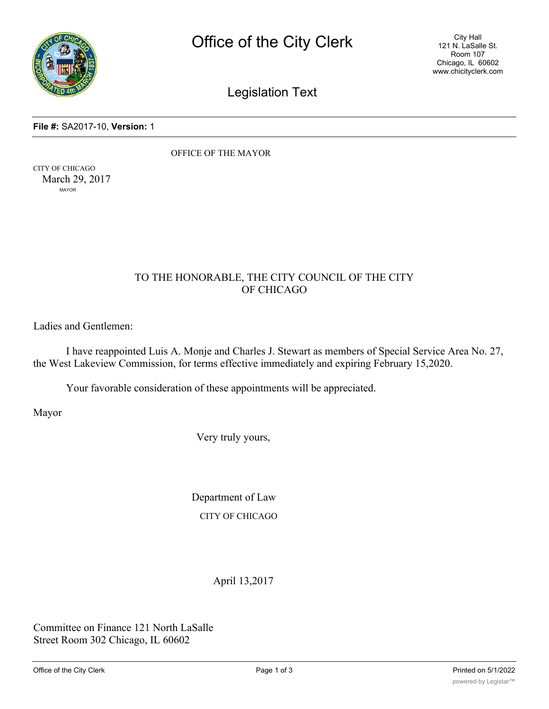

City Hall 121 N. LaSalle St. Room 107 Chicago, IL 60602 www.chicityclerk.com

Legislation Text

**File #:** SA2017-10, **Version:** 1

OFFICE OF THE MAYOR

CITY OF CHICAGO March 29, 2017 MAYOR

## TO THE HONORABLE, THE CITY COUNCIL OF THE CITY OF CHICAGO

Ladies and Gentlemen:

I have reappointed Luis A. Monje and Charles J. Stewart as members of Special Service Area No. 27, the West Lakeview Commission, for terms effective immediately and expiring February 15,2020.

Your favorable consideration of these appointments will be appreciated.

Mayor

Very truly yours,

Department of Law CITY OF CHICAGO

April 13,2017

Committee on Finance 121 North LaSalle Street Room 302 Chicago, IL 60602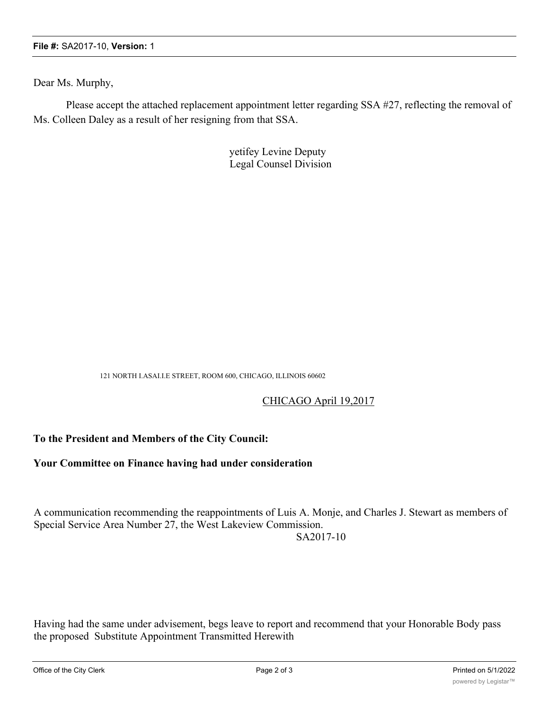Dear Ms. Murphy,

Please accept the attached replacement appointment letter regarding SSA #27, reflecting the removal of Ms. Colleen Daley as a result of her resigning from that SSA.

> yetifey Levine Deputy Legal Counsel Division

121 NORTH I.ASAI.I.E STREET, ROOM 600, CHICAGO, ILLINOIS 60602

## CHICAGO April 19,2017

## **To the President and Members of the City Council:**

## **Your Committee on Finance having had under consideration**

A communication recommending the reappointments of Luis A. Monje, and Charles J. Stewart as members of Special Service Area Number 27, the West Lakeview Commission.

SA2017-10

Having had the same under advisement, begs leave to report and recommend that your Honorable Body pass the proposed Substitute Appointment Transmitted Herewith